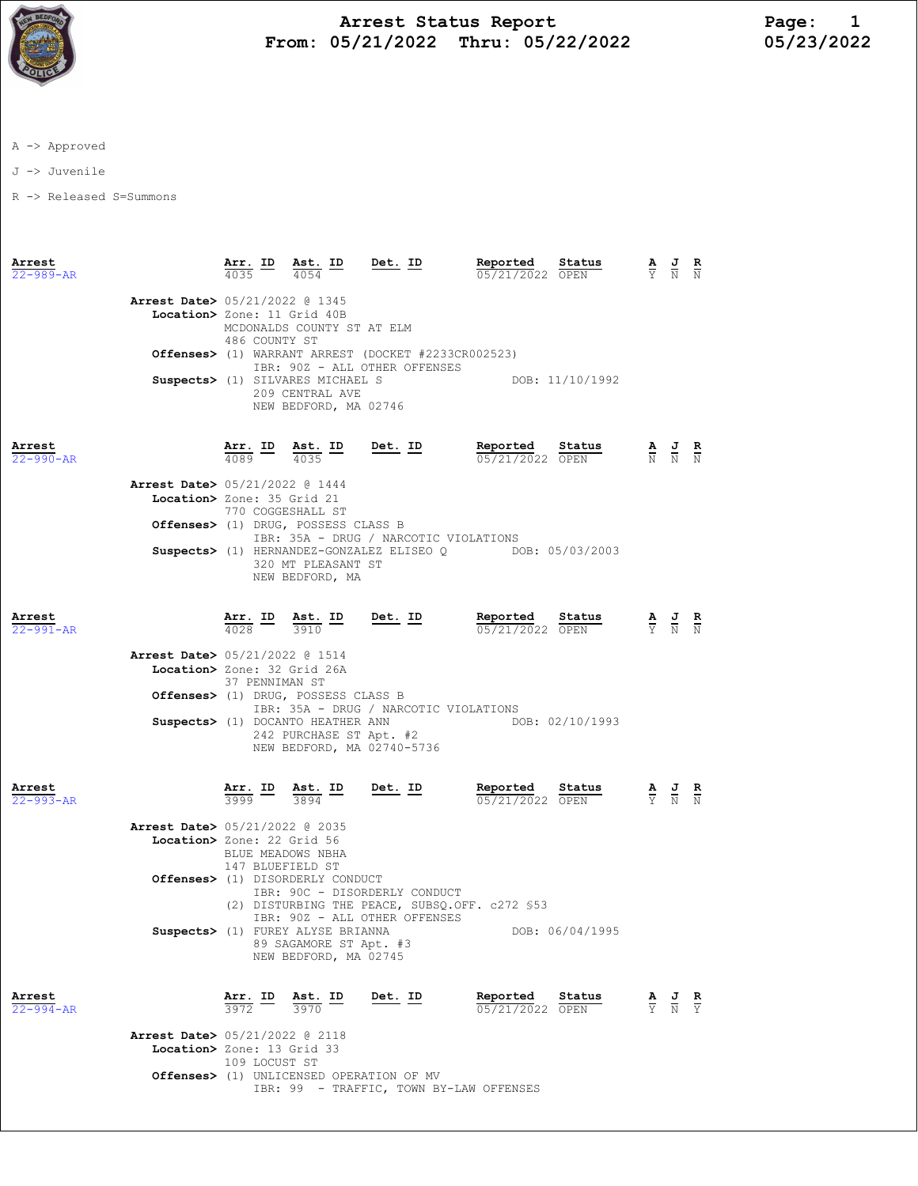

## Arrest Status Report 1<br>05/21/2022 Thru: 05/22/2022 105/23/2022 From:  $05/21/2022$  Thru:  $05/22/2022$

A -> Approved

J -> Juvenile

R -> Released S=Summons

| Arrest<br>$22 - 989 - AR$ |                                                                         |                   | $\frac{\text{Arr.}}{4035}$ ID $\frac{\text{Ast.}}{4054}$ ID Det. ID<br>4054          |                                                                                                | Reported<br>05/21/2022 OPEN                                                              | Status          | $\frac{\mathbf{A}}{\mathbf{Y}}$ $\frac{\mathbf{J}}{\mathbf{N}}$ $\frac{\mathbf{R}}{\mathbf{N}}$ |                                                                                                 |               |
|---------------------------|-------------------------------------------------------------------------|-------------------|--------------------------------------------------------------------------------------|------------------------------------------------------------------------------------------------|------------------------------------------------------------------------------------------|-----------------|-------------------------------------------------------------------------------------------------|-------------------------------------------------------------------------------------------------|---------------|
|                           | <b>Arrest Date&gt;</b> 05/21/2022 @ 1345<br>Location> Zone: 11 Grid 40B | 486 COUNTY ST     | MCDONALDS COUNTY ST AT ELM                                                           |                                                                                                |                                                                                          |                 |                                                                                                 |                                                                                                 |               |
|                           |                                                                         |                   |                                                                                      | <b>Offenses&gt;</b> (1) WARRANT ARREST (DOCKET #2233CR002523)<br>IBR: 90Z - ALL OTHER OFFENSES |                                                                                          |                 |                                                                                                 |                                                                                                 |               |
|                           |                                                                         |                   | Suspects> (1) SILVARES MICHAEL S<br>209 CENTRAL AVE<br>NEW BEDFORD, MA 02746         |                                                                                                | DOB: 11/10/1992                                                                          |                 |                                                                                                 |                                                                                                 |               |
| Arrest<br>$22 - 990 - AR$ |                                                                         |                   | $\frac{\text{Arr.}}{4089}$ ID $\frac{\text{Ast.}}{4035}$ ID Det. ID                  |                                                                                                | Reported<br>05/21/2022 OPEN                                                              | Status          | $\frac{\mathbf{A}}{\mathbf{N}}$ $\frac{\mathbf{J}}{\mathbf{N}}$ $\frac{\mathbf{R}}{\mathbf{N}}$ |                                                                                                 |               |
|                           | Arrest Date> 05/21/2022 @ 1444<br>Location> Zone: 35 Grid 21            | 770 COGGESHALL ST |                                                                                      |                                                                                                |                                                                                          |                 |                                                                                                 |                                                                                                 |               |
|                           |                                                                         |                   | Offenses> (1) DRUG, POSSESS CLASS B                                                  |                                                                                                |                                                                                          |                 |                                                                                                 |                                                                                                 |               |
|                           |                                                                         |                   | 320 MT PLEASANT ST<br>NEW BEDFORD, MA                                                | IBR: 35A - DRUG / NARCOTIC VIOLATIONS                                                          | Suspects> (1) HERNANDEZ-GONZALEZ ELISEO Q DOB: 05/03/2003                                |                 |                                                                                                 |                                                                                                 |               |
| Arrest<br>$22 - 991 - AR$ |                                                                         |                   | $\frac{\texttt{Arr.}}{4028}$ ID $\frac{\texttt{Ast.}}{3910}$ ID Det. ID              |                                                                                                | <b>Reported Status A J R</b> 05/21/2022 OPEN $\frac{1}{Y}$ <b>N N</b><br>05/21/2022 OPEN |                 |                                                                                                 |                                                                                                 |               |
|                           | Arrest Date> 05/21/2022 @ 1514<br>Location> Zone: 32 Grid 26A           | 37 PENNIMAN ST    |                                                                                      |                                                                                                |                                                                                          |                 |                                                                                                 |                                                                                                 |               |
|                           |                                                                         |                   | Offenses> (1) DRUG, POSSESS CLASS B                                                  | IBR: 35A - DRUG / NARCOTIC VIOLATIONS                                                          |                                                                                          |                 |                                                                                                 |                                                                                                 |               |
|                           |                                                                         |                   | Suspects> (1) DOCANTO HEATHER ANN<br>242 PURCHASE ST Apt. #2                         | NEW BEDFORD, MA 02740-5736                                                                     | DOB: 02/10/1993                                                                          |                 |                                                                                                 |                                                                                                 |               |
| Arrest<br>$22 - 993 - AR$ |                                                                         |                   | $\frac{\text{Arr.}}{3999}$ ID $\frac{\text{Ast.}}{3894}$ ID                          | <u>Det. ID</u>                                                                                 | <u>Reported</u><br>05/21/2022 OPEN                                                       | Status          |                                                                                                 | $\frac{\mathbf{A}}{\mathbf{Y}}$ $\frac{\mathbf{J}}{\mathbf{N}}$ $\frac{\mathbf{R}}{\mathbf{N}}$ |               |
|                           | Arrest Date> 05/21/2022 @ 2035<br>Location> Zone: 22 Grid 56            | BLUE MEADOWS NBHA |                                                                                      |                                                                                                |                                                                                          |                 |                                                                                                 |                                                                                                 |               |
|                           |                                                                         | 147 BLUEFIELD ST  | <b>Offenses&gt;</b> (1) DISORDERLY CONDUCT                                           | IBR: 90C - DISORDERLY CONDUCT                                                                  | (2) DISTURBING THE PEACE, SUBSQ.OFF. c272 \$53                                           |                 |                                                                                                 |                                                                                                 |               |
|                           |                                                                         |                   | Suspects> (1) FUREY ALYSE BRIANNA<br>89 SAGAMORE ST Apt. #3<br>NEW BEDFORD, MA 02745 | IBR: 90Z - ALL OTHER OFFENSES                                                                  |                                                                                          | DOB: 06/04/1995 |                                                                                                 |                                                                                                 |               |
| Arrest<br>$22 - 994 - AR$ |                                                                         | Arr. ID<br>3972   | <u>Ast. ID</u><br>3970                                                               | Det. ID                                                                                        | Reported<br>05/21/2022 OPEN                                                              | Status          |                                                                                                 | $\frac{\mathbf{A}}{\mathbf{Y}}$ $\frac{\mathbf{J}}{\mathbf{N}}$                                 | $\frac{R}{Y}$ |
|                           | <b>Arrest Date&gt;</b> 05/21/2022 @ 2118<br>Location> Zone: 13 Grid 33  | 109 LOCUST ST     |                                                                                      |                                                                                                |                                                                                          |                 |                                                                                                 |                                                                                                 |               |
|                           |                                                                         |                   |                                                                                      | Offenses> (1) UNLICENSED OPERATION OF MV                                                       | IBR: 99 - TRAFFIC, TOWN BY-LAW OFFENSES                                                  |                 |                                                                                                 |                                                                                                 |               |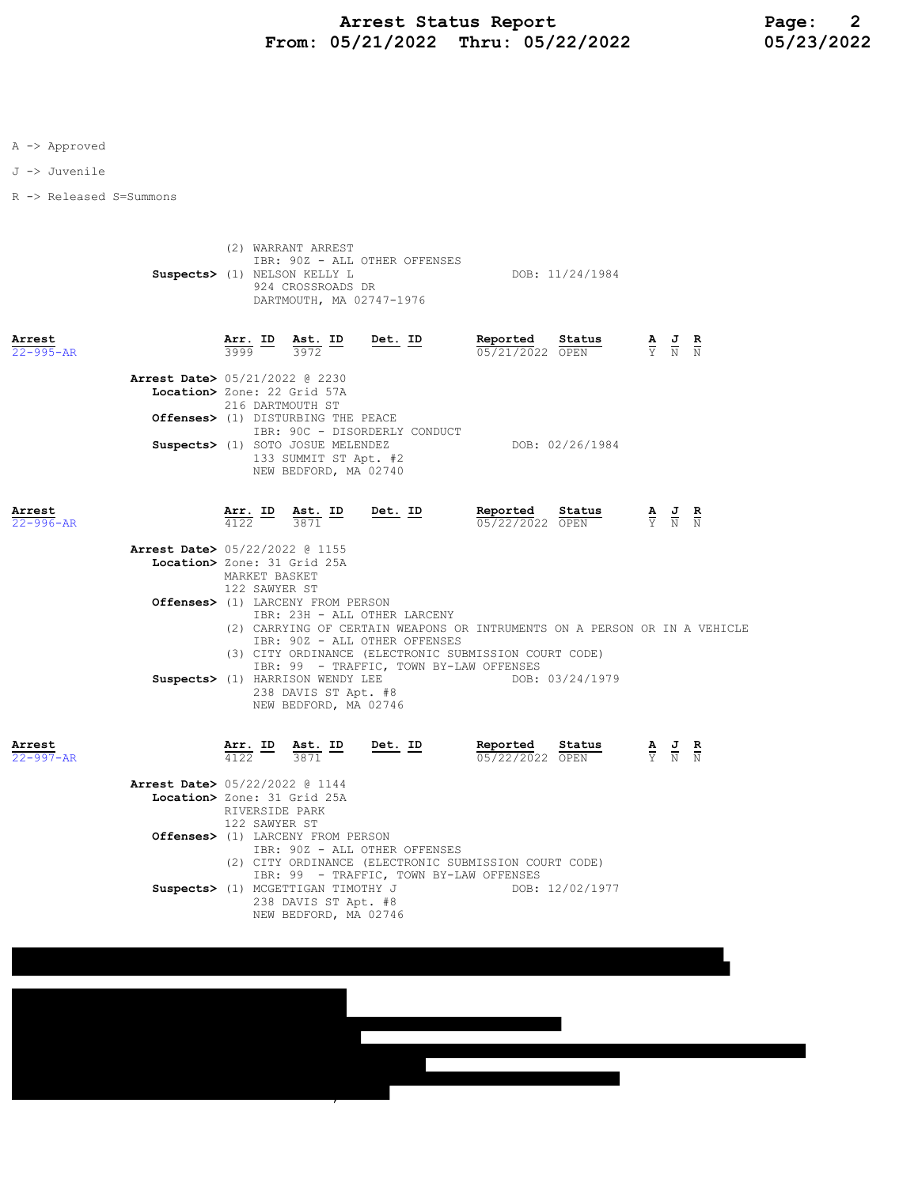## Arrest Status Report<br>15/21/2022 Thru: 05/22/2022 05/23/2022 From: 05/21/2022 Thru: 05/22/2022

A -> Approved

J -> Juvenile

R -> Released S=Summons

 (2) WARRANT ARREST IBR: 90Z - ALL OTHER OFFENSES Suspects> (1) NELSON KELLY L DOB: 11/24/1984 924 CROSSROADS DR DARTMOUTH, MA 02747-1976

| Arrest<br>$22 - 995 - AR$      | Arr. ID Ast. ID<br>3999 | 3972                                                                                | Det. ID | Reported<br>05/21/2022 OPEN | Status          | $\mathbf{A}$ | $\overline{a}$<br>Y N N | R |
|--------------------------------|-------------------------|-------------------------------------------------------------------------------------|---------|-----------------------------|-----------------|--------------|-------------------------|---|
| Arrest Date> 05/21/2022 @ 2230 |                         |                                                                                     |         |                             |                 |              |                         |   |
| Location> Zone: 22 Grid 57A    | 216 DARTMOUTH ST        |                                                                                     |         |                             |                 |              |                         |   |
|                                |                         | Offenses> (1) DISTURBING THE PEACE<br>IBR: 90C - DISORDERLY CONDUCT                 |         |                             |                 |              |                         |   |
|                                |                         | Suspects> (1) SOTO JOSUE MELENDEZ<br>133 SUMMIT ST Apt. #2<br>NEW BEDFORD, MA 02740 |         |                             | DOB: 02/26/1984 |              |                         |   |

| Arrest          |                                                  | Arr. | ID. | Ast. ID | Det. ID | Reported        | Status |        | AJR<br>$\sim$ |  |
|-----------------|--------------------------------------------------|------|-----|---------|---------|-----------------|--------|--------|---------------|--|
| $22 - 996 - AR$ |                                                  | 4122 |     | 3871    |         | 05/22/2022 OPEN |        | $\sim$ | Y N N         |  |
|                 | $\lambda$ rrost Dato $\lambda$ 05/22/2022 0 1155 |      |     |         |         |                 |        |        |               |  |

| Arrest Date> 05/22/2022 @ 1155                                            |
|---------------------------------------------------------------------------|
| Location> Zone: 31 Grid 25A                                               |
| MARKET BASKET<br>122 SAWYER ST                                            |
| <b>Offenses&gt;</b> (1) LARCENY FROM PERSON                               |
| TBR: 23H - ALL OTHER LARCENY                                              |
| (2) CARRYING OF CERTAIN WEAPONS OR INTRUMENTS ON A PERSON OR IN A VEHICLE |
| IBR: 90Z - ALL OTHER OFFENSES                                             |
| (3) CITY ORDINANCE (ELECTRONIC SUBMISSION COURT CODE)                     |
| IBR: 99 - TRAFFIC, TOWN BY-LAW OFFENSES                                   |
| DOB: 03/24/1979<br>Suspects> (1) HARRISON WENDY LEE                       |
| 238 DAVIS ST Apt. #8                                                      |
| NEW BEDFORD, MA 02746                                                     |
|                                                                           |
|                                                                           |

| Arre | ,,,, |  |
|------|------|--|
|      |      |  |

| Arrest<br>$22 - 997 - AR$                   | Arr. ID<br>4122 |                                                       | Ast. ID<br>3871               | Det. ID |  | Reported<br>05/22/2022 OPEN             | Status          |  | $\frac{\mathbf{A}}{\mathbf{Y}}$ $\frac{\mathbf{J}}{\mathbf{N}}$ $\frac{\mathbf{R}}{\mathbf{N}}$ |  |
|---------------------------------------------|-----------------|-------------------------------------------------------|-------------------------------|---------|--|-----------------------------------------|-----------------|--|-------------------------------------------------------------------------------------------------|--|
| Arrest Date> 05/22/2022 @ 1144              |                 |                                                       |                               |         |  |                                         |                 |  |                                                                                                 |  |
| Location> Zone: 31 Grid 25A                 |                 |                                                       |                               |         |  |                                         |                 |  |                                                                                                 |  |
|                                             |                 |                                                       | RIVERSIDE PARK                |         |  |                                         |                 |  |                                                                                                 |  |
|                                             |                 | 122 SAWYER ST                                         |                               |         |  |                                         |                 |  |                                                                                                 |  |
| <b>Offenses&gt;</b> (1) LARCENY FROM PERSON |                 |                                                       |                               |         |  |                                         |                 |  |                                                                                                 |  |
|                                             |                 |                                                       | IBR: 90Z - ALL OTHER OFFENSES |         |  |                                         |                 |  |                                                                                                 |  |
|                                             |                 | (2) CITY ORDINANCE (ELECTRONIC SUBMISSION COURT CODE) |                               |         |  |                                         |                 |  |                                                                                                 |  |
|                                             |                 |                                                       |                               |         |  | IBR: 99 - TRAFFIC, TOWN BY-LAW OFFENSES |                 |  |                                                                                                 |  |
| Suspects> (1) MCGETTIGAN TIMOTHY J          |                 |                                                       |                               |         |  |                                         | DOB: 12/02/1977 |  |                                                                                                 |  |
|                                             |                 |                                                       | 238 DAVIS ST Apt. #8          |         |  |                                         |                 |  |                                                                                                 |  |
|                                             |                 |                                                       | NEW BEDFORD, MA 02746         |         |  |                                         |                 |  |                                                                                                 |  |

,